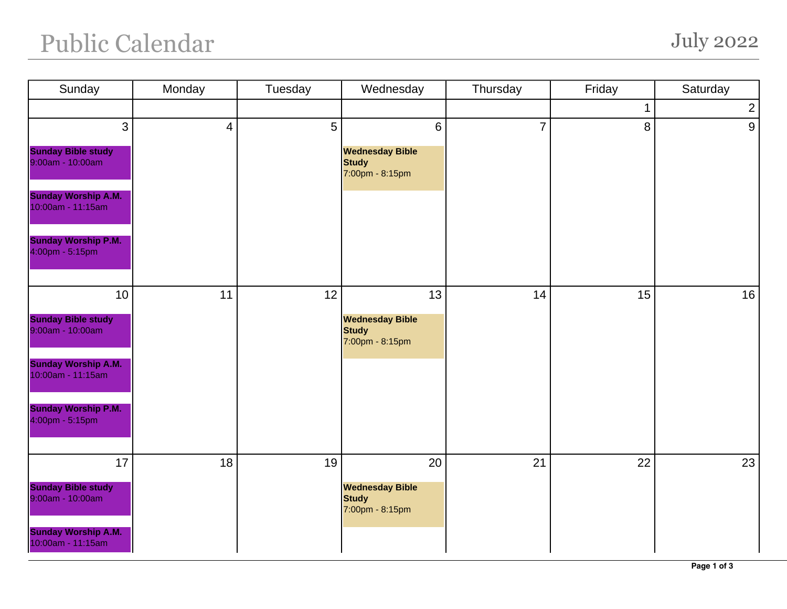## Public Calendar July 2022

| Sunday                                          | Monday         | Tuesday | Wednesday                                                 | Thursday       | Friday      | Saturday       |
|-------------------------------------------------|----------------|---------|-----------------------------------------------------------|----------------|-------------|----------------|
|                                                 |                |         |                                                           |                | $\mathbf 1$ | $\overline{2}$ |
| 3                                               | $\overline{4}$ | 5       | $\,6\,$                                                   | $\overline{7}$ | 8           | 9              |
| <b>Sunday Bible study</b><br>9:00am - 10:00am   |                |         | <b>Wednesday Bible</b><br><b>Study</b><br>7:00pm - 8:15pm |                |             |                |
| <b>Sunday Worship A.M.</b><br>10:00am - 11:15am |                |         |                                                           |                |             |                |
| <b>Sunday Worship P.M.</b><br>4:00pm - 5:15pm   |                |         |                                                           |                |             |                |
| 10                                              | 11             | 12      | 13                                                        | 14             | 15          | 16             |
| <b>Sunday Bible study</b><br>9:00am - 10:00am   |                |         | <b>Wednesday Bible</b><br><b>Study</b><br>7:00pm - 8:15pm |                |             |                |
| <b>Sunday Worship A.M.</b><br>10:00am - 11:15am |                |         |                                                           |                |             |                |
| <b>Sunday Worship P.M.</b><br>4:00pm - 5:15pm   |                |         |                                                           |                |             |                |
| $17$                                            | 18             | 19      | 20                                                        | 21             | 22          | 23             |
| <b>Sunday Bible study</b><br>9:00am - 10:00am   |                |         | <b>Wednesday Bible</b><br><b>Study</b><br>7:00pm - 8:15pm |                |             |                |
| <b>Sunday Worship A.M.</b><br>10:00am - 11:15am |                |         |                                                           |                |             |                |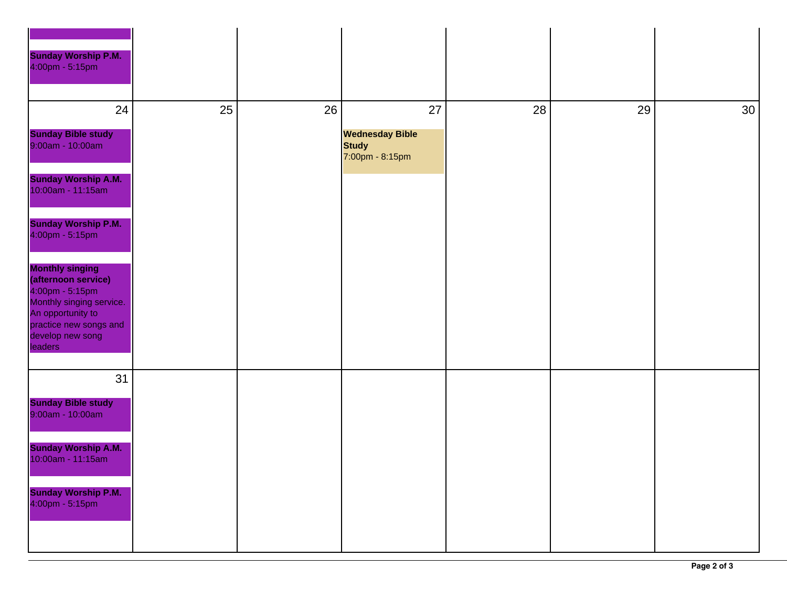| <b>Sunday Worship P.M.</b><br>4:00pm - 5:15pm                                                                                                                              |    |    |                                                           |    |    |                 |
|----------------------------------------------------------------------------------------------------------------------------------------------------------------------------|----|----|-----------------------------------------------------------|----|----|-----------------|
| 24                                                                                                                                                                         | 25 | 26 | 27                                                        | 28 | 29 | 30 <sup>°</sup> |
| <b>Sunday Bible study</b><br>9:00am - 10:00am                                                                                                                              |    |    | <b>Wednesday Bible</b><br><b>Study</b><br>7:00pm - 8:15pm |    |    |                 |
| <b>Sunday Worship A.M.</b><br>10:00am - 11:15am                                                                                                                            |    |    |                                                           |    |    |                 |
| <b>Sunday Worship P.M.</b><br>4:00pm - 5:15pm                                                                                                                              |    |    |                                                           |    |    |                 |
| <b>Monthly singing</b><br>(afternoon service)<br>4:00pm - 5:15pm<br>Monthly singing service.<br>An opportunity to<br>practice new songs and<br>develop new song<br>leaders |    |    |                                                           |    |    |                 |
| 31                                                                                                                                                                         |    |    |                                                           |    |    |                 |
| <b>Sunday Bible study</b><br>9:00am - 10:00am                                                                                                                              |    |    |                                                           |    |    |                 |
| <b>Sunday Worship A.M.</b><br>10:00am - 11:15am                                                                                                                            |    |    |                                                           |    |    |                 |
| <b>Sunday Worship P.M.</b><br>4:00pm - 5:15pm                                                                                                                              |    |    |                                                           |    |    |                 |